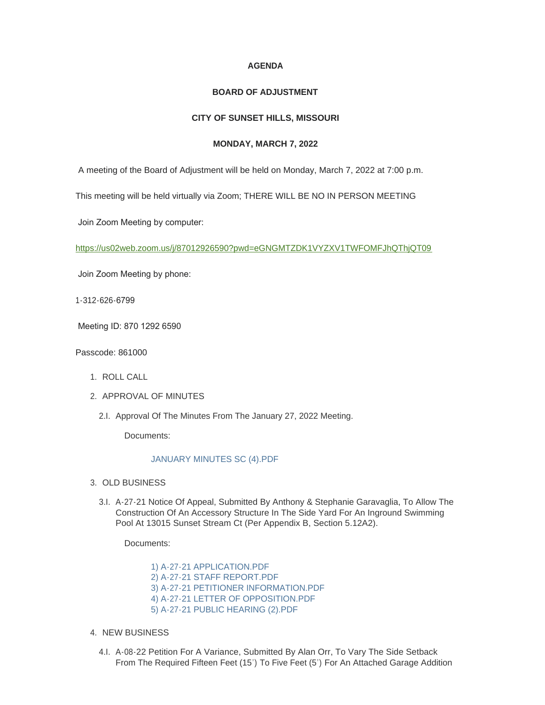# **AGENDA**

#### **BOARD OF ADJUSTMENT**

# **CITY OF SUNSET HILLS, MISSOURI**

### **MONDAY, MARCH 7, 2022**

A meeting of the Board of Adjustment will be held on Monday, March 7, 2022 at 7:00 p.m.

This meeting will be held virtually via Zoom; THERE WILL BE NO IN PERSON MEETING

Join Zoom Meeting by computer:

<https://us02web.zoom.us/j/87012926590?pwd=eGNGMTZDK1VYZXV1TWFOMFJhQThjQT09>

Join Zoom Meeting by phone:

1-312-626-6799

Meeting ID: 870 1292 6590

Passcode: 861000

- 1. ROLL CALL
- 2. APPROVAL OF MINUTES
	- 2.I. Approval Of The Minutes From The January 27, 2022 Meeting.

Documents:

#### [JANUARY MINUTES SC \(4\).PDF](https://www.sunset-hills.com/AgendaCenter/ViewFile/Item/4223?fileID=28808)

- 3. OLD BUSINESS
	- 3.I. A-27-21 Notice Of Appeal, Submitted By Anthony & Stephanie Garavaglia, To Allow The Construction Of An Accessory Structure In The Side Yard For An Inground Swimming Pool At 13015 Sunset Stream Ct (Per Appendix B, Section 5.12A2).

Documents:

[1\) A-27-21 APPLICATION.PDF](https://www.sunset-hills.com/AgendaCenter/ViewFile/Item/4220?fileID=28791) [2\) A-27-21 STAFF REPORT.PDF](https://www.sunset-hills.com/AgendaCenter/ViewFile/Item/4220?fileID=28792) [3\) A-27-21 PETITIONER INFORMATION.PDF](https://www.sunset-hills.com/AgendaCenter/ViewFile/Item/4220?fileID=28793) [4\) A-27-21 LETTER OF OPPOSITION.PDF](https://www.sunset-hills.com/AgendaCenter/ViewFile/Item/4220?fileID=28794) [5\) A-27-21 PUBLIC HEARING \(2\).PDF](https://www.sunset-hills.com/AgendaCenter/ViewFile/Item/4220?fileID=28795)

- 4. NEW BUSINESS
	- A-08-22 Petition For A Variance, Submitted By Alan Orr, To Vary The Side Setback 4.I. From The Required Fifteen Feet (15') To Five Feet (5') For An Attached Garage Addition